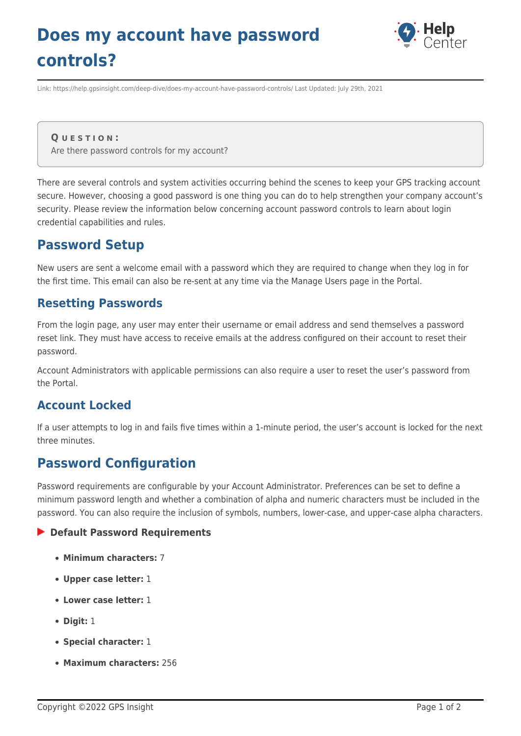# **Does my account have password controls?**



Link: https://help.gpsinsight.com/deep-dive/does-my-account-have-password-controls/ Last Updated: July 29th, 2021

**Q U E S T I O N :** Are there password controls for my account?

There are several controls and system activities occurring behind the scenes to keep your GPS tracking account secure. However, choosing a good password is one thing you can do to help strengthen your company account's security. Please review the information below concerning account password controls to learn about login credential capabilities and rules.

## **Password Setup**

New users are sent a welcome email with a password which they are required to change when they log in for the first time. This email can also be re-sent at any time via the Manage Users page in the Portal.

### **Resetting Passwords**

From the login page, any user may enter their username or email address and send themselves a password reset link. They must have access to receive emails at the address configured on their account to reset their password.

Account Administrators with applicable permissions can also require a user to reset the user's password from the Portal.

### **Account Locked**

If a user attempts to log in and fails five times within a 1-minute period, the user's account is locked for the next three minutes.

## **Password Configuration**

Password requirements are configurable by your Account Administrator. Preferences can be set to define a minimum password length and whether a combination of alpha and numeric characters must be included in the password. You can also require the inclusion of symbols, numbers, lower-case, and upper-case alpha characters.

#### **Default Password Requirements**

- **Minimum characters:** 7
- **Upper case letter:** 1
- **Lower case letter:** 1
- **Digit:** 1
- **Special character:** 1
- **Maximum characters:** 256